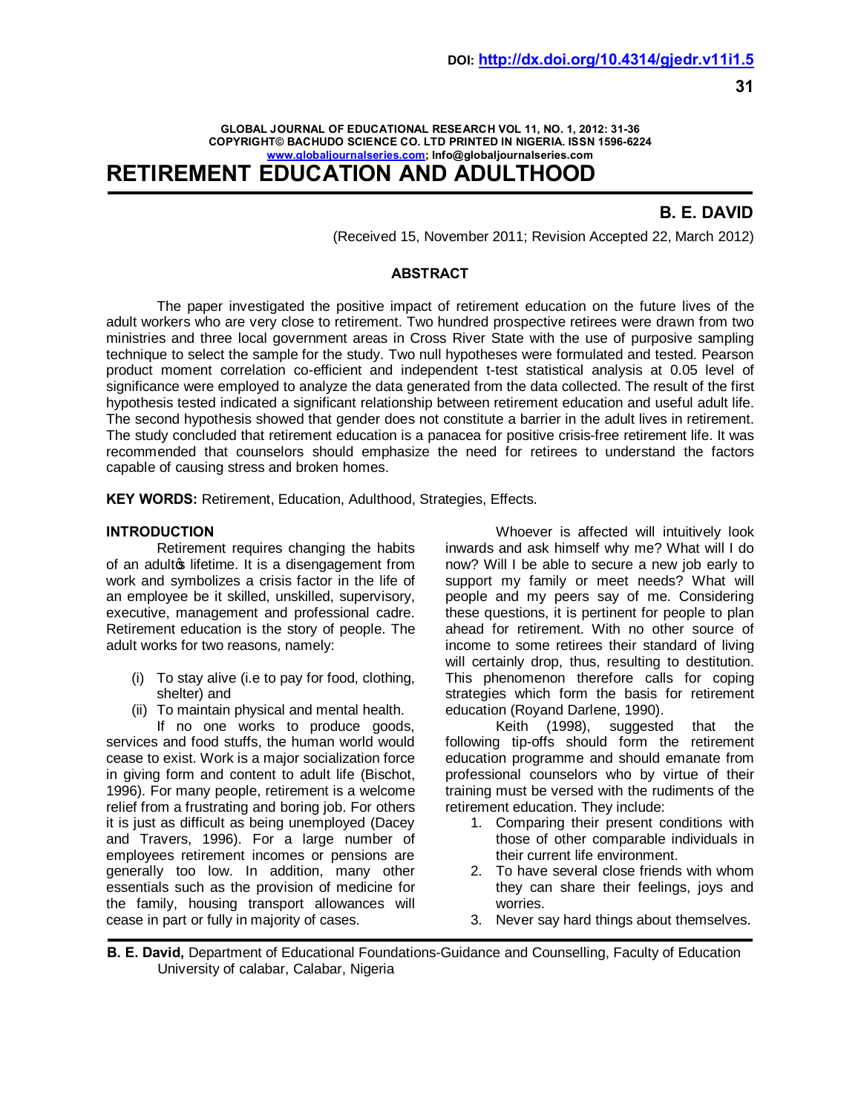### **GLOBAL JOURNAL OF EDUCATIONAL RESEARCH VOL 11, NO. 1, 2012: 31-36 COPYRIGHT© BACHUDO SCIENCE CO. LTD PRINTED IN NIGERIA. ISSN 1596-6224 [www.globaljournalseries.](http://www.globaljournalseries.com/)com; Info@globaljournalseries.com RETIREMENT EDUCATION AND ADULTHOOD**

# **B. E. DAVID**

(Received 15, November 2011; Revision Accepted 22, March 2012)

## **ABSTRACT**

The paper investigated the positive impact of retirement education on the future lives of the adult workers who are very close to retirement. Two hundred prospective retirees were drawn from two ministries and three local government areas in Cross River State with the use of purposive sampling technique to select the sample for the study. Two null hypotheses were formulated and tested. Pearson product moment correlation co-efficient and independent t-test statistical analysis at 0.05 level of significance were employed to analyze the data generated from the data collected. The result of the first hypothesis tested indicated a significant relationship between retirement education and useful adult life. The second hypothesis showed that gender does not constitute a barrier in the adult lives in retirement. The study concluded that retirement education is a panacea for positive crisis-free retirement life. It was recommended that counselors should emphasize the need for retirees to understand the factors capable of causing stress and broken homes.

**KEY WORDS:** Retirement, Education, Adulthood, Strategies, Effects.

## **INTRODUCTION**

Retirement requires changing the habits of an adulto lifetime. It is a disengagement from work and symbolizes a crisis factor in the life of an employee be it skilled, unskilled, supervisory, executive, management and professional cadre. Retirement education is the story of people. The adult works for two reasons, namely:

- (i) To stay alive (i.e to pay for food, clothing, shelter) and
- (ii) To maintain physical and mental health.

If no one works to produce goods, services and food stuffs, the human world would cease to exist. Work is a major socialization force in giving form and content to adult life (Bischot, 1996). For many people, retirement is a welcome relief from a frustrating and boring job. For others it is just as difficult as being unemployed (Dacey and Travers, 1996). For a large number of employees retirement incomes or pensions are generally too low. In addition, many other essentials such as the provision of medicine for the family, housing transport allowances will cease in part or fully in majority of cases.

Whoever is affected will intuitively look inwards and ask himself why me? What will I do now? Will I be able to secure a new job early to support my family or meet needs? What will people and my peers say of me. Considering these questions, it is pertinent for people to plan ahead for retirement. With no other source of income to some retirees their standard of living will certainly drop, thus, resulting to destitution. This phenomenon therefore calls for coping strategies which form the basis for retirement education (Royand Darlene, 1990).

Keith (1998), suggested that the following tip-offs should form the retirement education programme and should emanate from professional counselors who by virtue of their training must be versed with the rudiments of the retirement education. They include:

- 1. Comparing their present conditions with those of other comparable individuals in their current life environment.
- 2. To have several close friends with whom they can share their feelings, joys and worries.
- 3. Never say hard things about themselves.

**B. E. David,** Department of Educational Foundations-Guidance and Counselling, Faculty of Education University of calabar, Calabar, Nigeria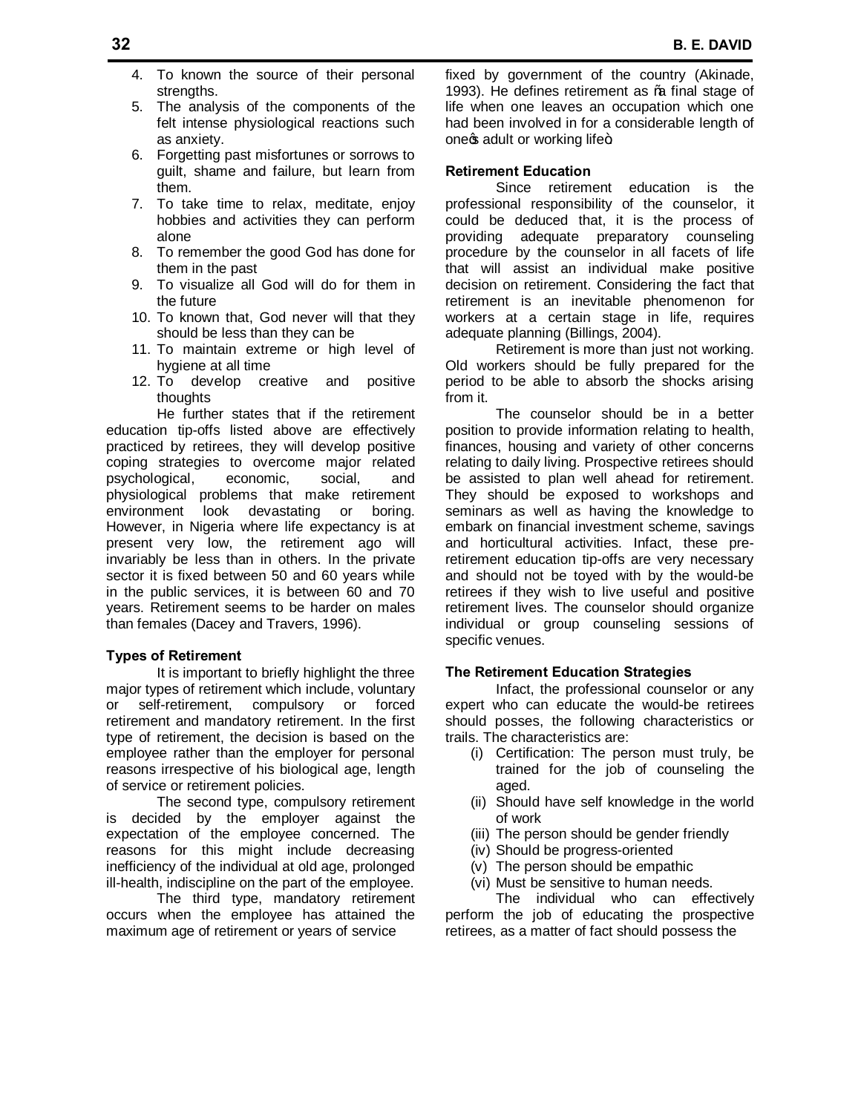- 4. To known the source of their personal strengths.
- 5. The analysis of the components of the felt intense physiological reactions such as anxiety.
- 6. Forgetting past misfortunes or sorrows to guilt, shame and failure, but learn from them.
- 7. To take time to relax, meditate, enjoy hobbies and activities they can perform alone
- 8. To remember the good God has done for them in the past
- 9. To visualize all God will do for them in the future
- 10. To known that, God never will that they should be less than they can be
- 11. To maintain extreme or high level of hygiene at all time
- 12. To develop creative and positive thoughts

He further states that if the retirement education tip-offs listed above are effectively practiced by retirees, they will develop positive coping strategies to overcome major related psychological, economic, social, and physiological problems that make retirement environment look devastating or boring. However, in Nigeria where life expectancy is at present very low, the retirement ago will invariably be less than in others. In the private sector it is fixed between 50 and 60 years while in the public services, it is between 60 and 70 years. Retirement seems to be harder on males than females (Dacey and Travers, 1996).

#### **Types of Retirement**

It is important to briefly highlight the three major types of retirement which include, voluntary or self-retirement, compulsory or forced retirement and mandatory retirement. In the first type of retirement, the decision is based on the employee rather than the employer for personal reasons irrespective of his biological age, length of service or retirement policies.

The second type, compulsory retirement is decided by the employer against the expectation of the employee concerned. The reasons for this might include decreasing inefficiency of the individual at old age, prolonged ill-health, indiscipline on the part of the employee.

The third type, mandatory retirement occurs when the employee has attained the maximum age of retirement or years of service

fixed by government of the country (Akinade, 1993). He defines retirement as % final stage of life when one leaves an occupation which one had been involved in for a considerable length of onecs adult or working life+.

## **Retirement Education**

Since retirement education is the professional responsibility of the counselor, it could be deduced that, it is the process of providing adequate preparatory counseling procedure by the counselor in all facets of life that will assist an individual make positive decision on retirement. Considering the fact that retirement is an inevitable phenomenon for workers at a certain stage in life, requires adequate planning (Billings, 2004).

Retirement is more than just not working. Old workers should be fully prepared for the period to be able to absorb the shocks arising from it.

The counselor should be in a better position to provide information relating to health, finances, housing and variety of other concerns relating to daily living. Prospective retirees should be assisted to plan well ahead for retirement. They should be exposed to workshops and seminars as well as having the knowledge to embark on financial investment scheme, savings and horticultural activities. Infact, these preretirement education tip-offs are very necessary and should not be toyed with by the would-be retirees if they wish to live useful and positive retirement lives. The counselor should organize individual or group counseling sessions of specific venues.

#### **The Retirement Education Strategies**

Infact, the professional counselor or any expert who can educate the would-be retirees should posses, the following characteristics or trails. The characteristics are:

- (i) Certification: The person must truly, be trained for the job of counseling the aged.
- (ii) Should have self knowledge in the world of work
- (iii) The person should be gender friendly
- (iv) Should be progress-oriented
- (v) The person should be empathic
- (vi) Must be sensitive to human needs.

The individual who can effectively perform the job of educating the prospective retirees, as a matter of fact should possess the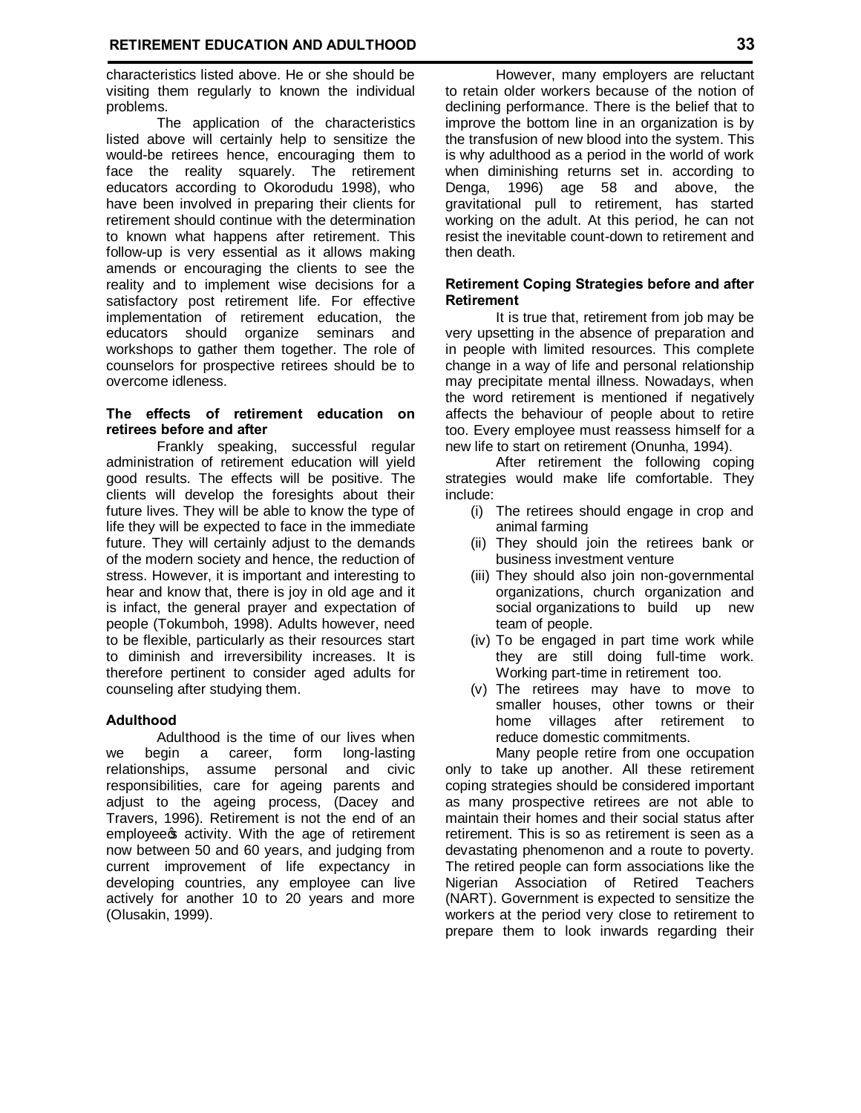characteristics listed above. He or she should be visiting them regularly to known the individual problems.

The application of the characteristics listed above will certainly help to sensitize the would-be retirees hence, encouraging them to face the reality squarely. The retirement educators according to Okorodudu 1998), who have been involved in preparing their clients for retirement should continue with the determination to known what happens after retirement. This follow-up is very essential as it allows making amends or encouraging the clients to see the reality and to implement wise decisions for a satisfactory post retirement life. For effective implementation of retirement education, the educators should organize seminars and workshops to gather them together. The role of counselors for prospective retirees should be to overcome idleness.

## **The effects of retirement education on retirees before and after**

Frankly speaking, successful regular administration of retirement education will yield good results. The effects will be positive. The clients will develop the foresights about their future lives. They will be able to know the type of life they will be expected to face in the immediate future. They will certainly adjust to the demands of the modern society and hence, the reduction of stress. However, it is important and interesting to hear and know that, there is joy in old age and it is infact, the general prayer and expectation of people (Tokumboh, 1998). Adults however, need to be flexible, particularly as their resources start to diminish and irreversibility increases. It is therefore pertinent to consider aged adults for counseling after studying them.

## **Adulthood**

Adulthood is the time of our lives when we begin a career, form long-lasting relationships, assume personal and civic responsibilities, care for ageing parents and adjust to the ageing process, (Dacey and Travers, 1996). Retirement is not the end of an employee os activity. With the age of retirement now between 50 and 60 years, and judging from current improvement of life expectancy in developing countries, any employee can live actively for another 10 to 20 years and more (Olusakin, 1999).

However, many employers are reluctant to retain older workers because of the notion of declining performance. There is the belief that to improve the bottom line in an organization is by the transfusion of new blood into the system. This is why adulthood as a period in the world of work when diminishing returns set in. according to Denga, 1996) age 58 and above, the gravitational pull to retirement, has started working on the adult. At this period, he can not resist the inevitable count-down to retirement and then death.

## **Retirement Coping Strategies before and after Retirement**

It is true that, retirement from job may be very upsetting in the absence of preparation and in people with limited resources. This complete change in a way of life and personal relationship may precipitate mental illness. Nowadays, when the word retirement is mentioned if negatively affects the behaviour of people about to retire too. Every employee must reassess himself for a new life to start on retirement (Onunha, 1994).

After retirement the following coping strategies would make life comfortable. They include:

- (i) The retirees should engage in crop and animal farming
- (ii) They should join the retirees bank or business investment venture
- (iii) They should also join non-governmental organizations, church organization and social organizations to build up new team of people.
- (iv) To be engaged in part time work while they are still doing full-time work. Working part-time in retirement too.
- (v) The retirees may have to move to smaller houses, other towns or their home villages after retirement to reduce domestic commitments.

Many people retire from one occupation only to take up another. All these retirement coping strategies should be considered important as many prospective retirees are not able to maintain their homes and their social status after retirement. This is so as retirement is seen as a devastating phenomenon and a route to poverty. The retired people can form associations like the Nigerian Association of Retired Teachers (NART). Government is expected to sensitize the workers at the period very close to retirement to prepare them to look inwards regarding their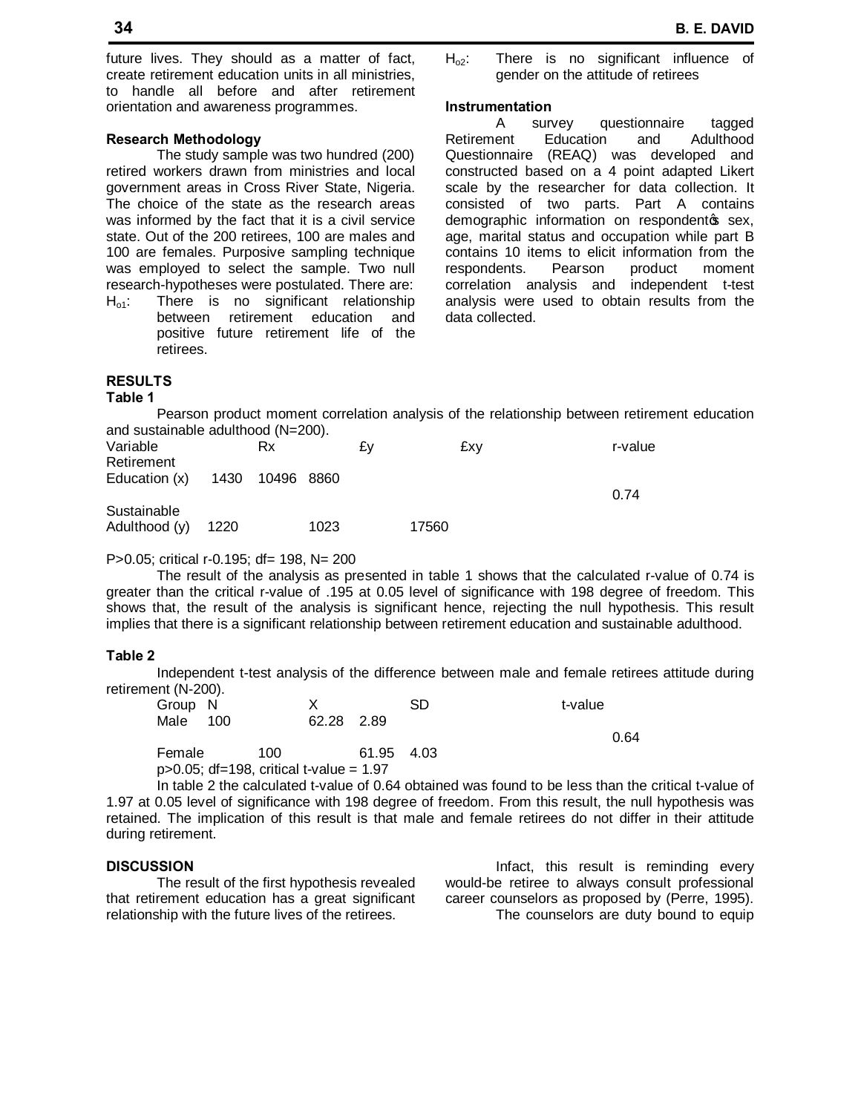**34 B. E. DAVID**

future lives. They should as a matter of fact, create retirement education units in all ministries, to handle all before and after retirement orientation and awareness programmes.

#### **Research Methodology**

The study sample was two hundred (200) retired workers drawn from ministries and local government areas in Cross River State, Nigeria. The choice of the state as the research areas was informed by the fact that it is a civil service state. Out of the 200 retirees, 100 are males and 100 are females. Purposive sampling technique was employed to select the sample. Two null research-hypotheses were postulated. There are:

 $H<sub>o1</sub>$ : There is no significant relationship between retirement education and positive future retirement life of the retirees.

 $H_{02}$ : There is no significant influence of gender on the attitude of retirees

## **Instrumentation**

A survey questionnaire tagged Retirement Education and Adulthood Questionnaire (REAQ) was developed and constructed based on a 4 point adapted Likert scale by the researcher for data collection. It consisted of two parts. Part A contains demographic information on respondentos sex, age, marital status and occupation while part B contains 10 items to elicit information from the respondents. Pearson product moment correlation analysis and independent t-test analysis were used to obtain results from the data collected.

# **RESULTS**

**Table 1**

Pearson product moment correlation analysis of the relationship between retirement education and sustainable adulthood (N=200).

| Variable<br>Retirement        |      | Rx              |      | £٧ |       | £xv | r-value |
|-------------------------------|------|-----------------|------|----|-------|-----|---------|
| Education (x)                 |      | 1430 10496 8860 |      |    |       |     | 0.74    |
| Sustainable<br>Adulthood (y). | 1220 |                 | 1023 |    | 17560 |     |         |

## P>0.05; critical r-0.195; df= 198, N= 200

The result of the analysis as presented in table 1 shows that the calculated r-value of 0.74 is greater than the critical r-value of .195 at 0.05 level of significance with 198 degree of freedom. This shows that, the result of the analysis is significant hence, rejecting the null hypothesis. This result implies that there is a significant relationship between retirement education and sustainable adulthood.

#### **Table 2**

Independent t-test analysis of the difference between male and female retirees attitude during retirement (N-200).

| Group N |                                              |     |            |            | SD | t-value |      |
|---------|----------------------------------------------|-----|------------|------------|----|---------|------|
| Male    | - 100                                        |     | 62.28 2.89 |            |    |         |      |
|         |                                              |     |            |            |    |         | 0.64 |
| Female  |                                              | 100 |            | 61.95 4.03 |    |         |      |
|         | $p > 0.05$ ; df=198, critical t-value = 1.97 |     |            |            |    |         |      |

In table 2 the calculated t-value of 0.64 obtained was found to be less than the critical t-value of 1.97 at 0.05 level of significance with 198 degree of freedom. From this result, the null hypothesis was retained. The implication of this result is that male and female retirees do not differ in their attitude during retirement.

# **DISCUSSION**

The result of the first hypothesis revealed that retirement education has a great significant relationship with the future lives of the retirees.

Infact, this result is reminding every would-be retiree to always consult professional career counselors as proposed by (Perre, 1995). The counselors are duty bound to equip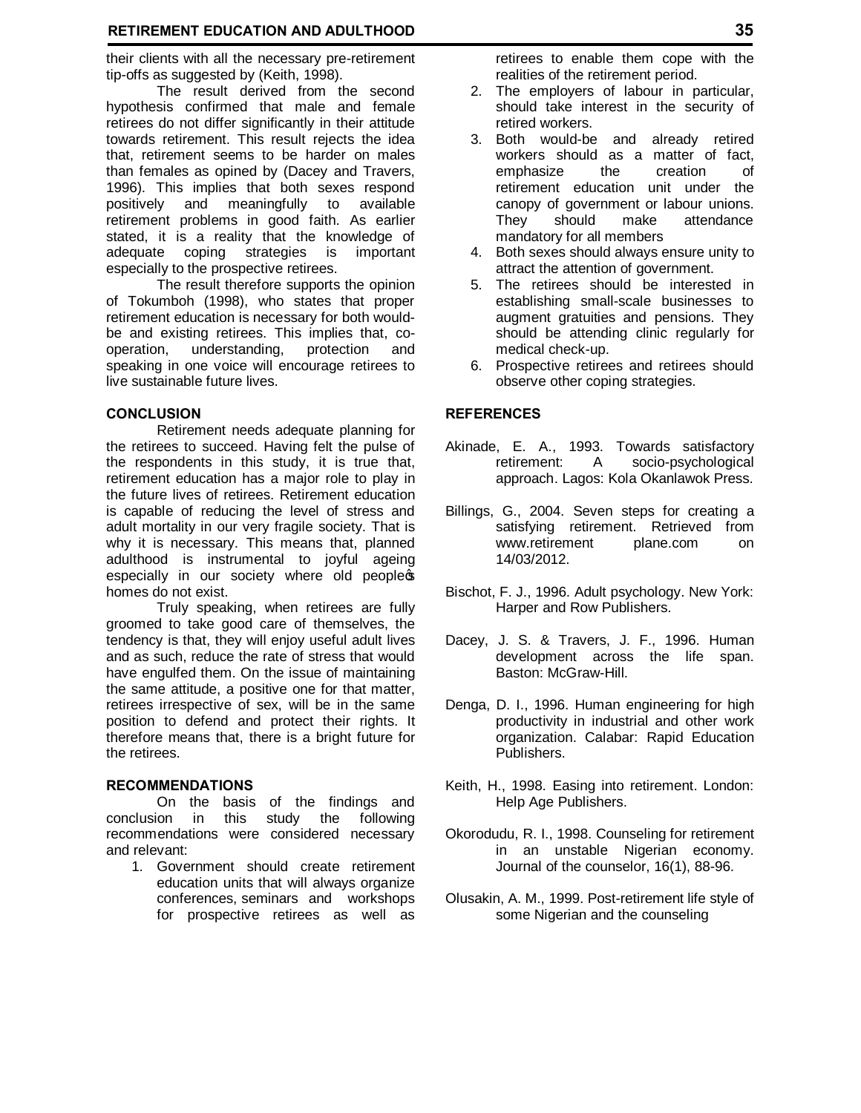# **RETIREMENT EDUCATION AND ADULTHOOD 35**

their clients with all the necessary pre-retirement tip-offs as suggested by (Keith, 1998).

The result derived from the second hypothesis confirmed that male and female retirees do not differ significantly in their attitude towards retirement. This result rejects the idea that, retirement seems to be harder on males than females as opined by (Dacey and Travers, 1996). This implies that both sexes respond positively and meaningfully to available retirement problems in good faith. As earlier stated, it is a reality that the knowledge of adequate coping strategies is important especially to the prospective retirees.

The result therefore supports the opinion of Tokumboh (1998), who states that proper retirement education is necessary for both wouldbe and existing retirees. This implies that, cooperation, understanding, protection and speaking in one voice will encourage retirees to live sustainable future lives.

#### **CONCLUSION**

Retirement needs adequate planning for the retirees to succeed. Having felt the pulse of the respondents in this study, it is true that, retirement education has a major role to play in the future lives of retirees. Retirement education is capable of reducing the level of stress and adult mortality in our very fragile society. That is why it is necessary. This means that, planned adulthood is instrumental to joyful ageing especially in our society where old peopless homes do not exist.

Truly speaking, when retirees are fully groomed to take good care of themselves, the tendency is that, they will enjoy useful adult lives and as such, reduce the rate of stress that would have engulfed them. On the issue of maintaining the same attitude, a positive one for that matter, retirees irrespective of sex, will be in the same position to defend and protect their rights. It therefore means that, there is a bright future for the retirees.

### **RECOMMENDATIONS**

On the basis of the findings and conclusion in this study the following recommendations were considered necessary and relevant:

1. Government should create retirement education units that will always organize conferences, seminars and workshops for prospective retirees as well as

retirees to enable them cope with the realities of the retirement period.

- 2. The employers of labour in particular, should take interest in the security of retired workers.
- 3. Both would-be and already retired workers should as a matter of fact, emphasize the creation of retirement education unit under the canopy of government or labour unions. They should make attendance mandatory for all members
- 4. Both sexes should always ensure unity to attract the attention of government.
- 5. The retirees should be interested in establishing small-scale businesses to augment gratuities and pensions. They should be attending clinic regularly for medical check-up.
- 6. Prospective retirees and retirees should observe other coping strategies.

#### **REFERENCES**

- Akinade, E. A., 1993. Towards satisfactory retirement: A socio-psychological approach. Lagos: Kola Okanlawok Press.
- Billings, G., 2004. Seven steps for creating a satisfying retirement. Retrieved from<br>www.retirement plane.com on www.retirement plane.com on 14/03/2012.
- Bischot, F. J., 1996. Adult psychology. New York: Harper and Row Publishers.
- Dacey, J. S. & Travers, J. F., 1996. Human development across the life span. Baston: McGraw-Hill.
- Denga, D. I., 1996. Human engineering for high productivity in industrial and other work organization. Calabar: Rapid Education Publishers.
- Keith, H., 1998. Easing into retirement. London: Help Age Publishers.
- Okorodudu, R. I., 1998. Counseling for retirement in an unstable Nigerian economy. Journal of the counselor, 16(1), 88-96.
- Olusakin, A. M., 1999. Post-retirement life style of some Nigerian and the counseling